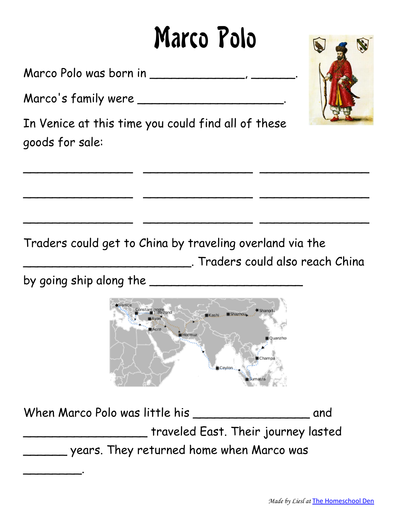# Marco Polo

Marco Polo was born in \_\_\_\_\_\_\_\_\_\_\_\_\_\_\_\_, \_\_\_\_\_\_\_

Marco's family were \_\_\_\_\_\_\_\_\_\_\_\_\_\_\_\_\_\_\_\_\_\_.

In Venice at this time you could find all of these goods for sale:

Traders could get to China by traveling overland via the \_\_\_\_\_\_\_\_\_\_\_\_\_\_\_\_\_\_\_\_\_\_\_. Traders could also reach China

 $\overline{\phantom{a}}$  , and the contract of the contract of the contract of the contract of the contract of the contract of the contract of

 $\overline{\phantom{a}}$  , and the contract of the contract of the contract of the contract of the contract of the contract of the contract of

 $\overline{\phantom{a}}$  , and the contract of the contract of the contract of the contract of the contract of the contract of the contract of

by going ship along the \_\_\_\_\_\_\_\_\_\_\_\_\_\_\_\_\_\_\_\_\_

 $\overline{\phantom{a}}$  . The contract of  $\overline{\phantom{a}}$ 



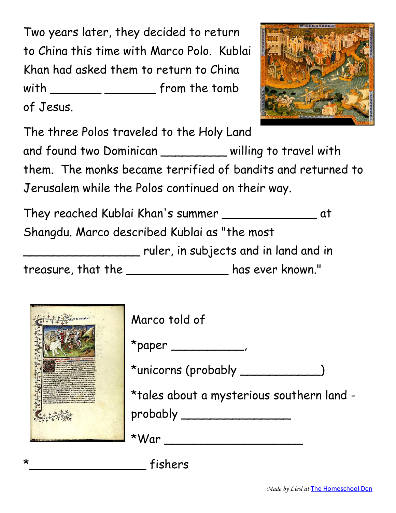Two years later, they decided to return to China this time with Marco Polo. Kublai Khan had asked them to return to China with \_\_\_\_\_\_\_ \_\_\_\_\_\_\_ from the tomb of Jesus.



The three Polos traveled to the Holy Land and found two Dominican \_\_\_\_\_\_\_\_\_ willing to travel with them. The monks became terrified of bandits and returned to Jerusalem while the Polos continued on their way.

They reached Kublai Khan's summer \_\_\_\_\_\_\_\_\_\_\_\_\_ at Shangdu. Marco described Kublai as "the most \_\_\_\_\_\_\_\_\_\_\_\_\_\_\_\_ ruler, in subjects and in land and in

treasure, that the \_\_\_\_\_\_\_\_\_\_\_\_\_\_ has ever known."



| Marco told of                             |
|-------------------------------------------|
| $*$ paper $\rule{1em}{0.15mm}$            |
| *unicorns (probably _                     |
| *tales about a mysterious southern land - |
| probably                                  |
|                                           |

 $*W$ ar  $\qquad \qquad \overbrace{\qquad \qquad }$ 

 $-$  fishers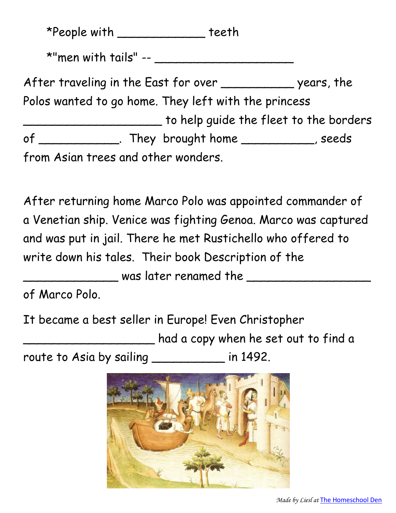\*People with \_\_\_\_\_\_\_\_\_\_\_\_ teeth

\*"men with tails" -- \_\_\_\_\_\_\_\_\_\_\_\_\_\_\_\_\_\_\_

After traveling in the East for over \_\_\_\_\_\_\_\_\_\_\_\_\_ years, the Polos wanted to go home. They left with the princess to help guide the fleet to the borders of \_\_\_\_\_\_\_\_\_\_\_\_\_. They brought home \_\_\_\_\_\_\_\_\_\_\_\_, seeds from Asian trees and other wonders.

After returning home Marco Polo was appointed commander of a Venetian ship. Venice was fighting Genoa. Marco was captured and was put in jail. There he met Rustichello who offered to write down his tales. Their book Description of the \_\_\_\_\_\_\_\_\_\_\_\_\_ was later renamed the \_\_\_\_\_\_\_\_\_\_\_\_\_\_\_\_\_

of Marco Polo.

It became a best seller in Europe! Even Christopher

\_\_\_\_\_\_\_\_\_\_\_\_\_\_\_\_\_\_ had a copy when he set out to find a

route to Asia by sailing \_\_\_\_\_\_\_\_\_\_ in 1492.

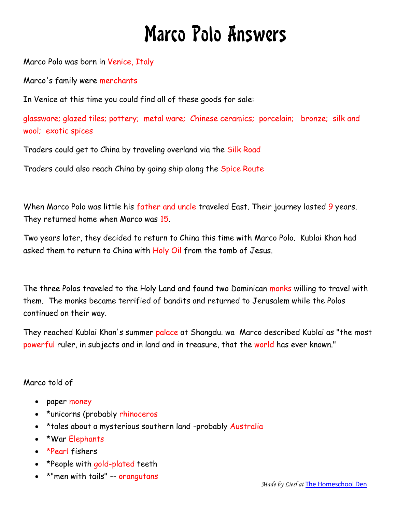## Marco Polo Answers

Marco Polo was born in Venice, Italy

Marco's family were merchants

In Venice at this time you could find all of these goods for sale:

glassware; glazed tiles; pottery; metal ware; Chinese ceramics; porcelain; bronze; silk and wool; exotic spices

Traders could get to China by traveling overland via the Silk Road

Traders could also reach China by going ship along the Spice Route

When Marco Polo was little his father and uncle traveled East. Their journey lasted 9 years. They returned home when Marco was 15.

Two years later, they decided to return to China this time with Marco Polo. Kublai Khan had asked them to return to China with Holy Oil from the tomb of Jesus.

The three Polos traveled to the Holy Land and found two Dominican monks willing to travel with them. The monks became terrified of bandits and returned to Jerusalem while the Polos continued on their way.

They reached Kublai Khan's summer palace at Shangdu. wa Marco described Kublai as "the most powerful ruler, in subjects and in land and in treasure, that the world has ever known."

#### Marco told of

- paper money
- \*unicorns (probably rhinoceros
- \*tales about a mysterious southern land -probably Australia
- \*War Elephants
- \*Pearl fishers
- \*People with gold-plated teeth
- \*"men with tails" -- orangutans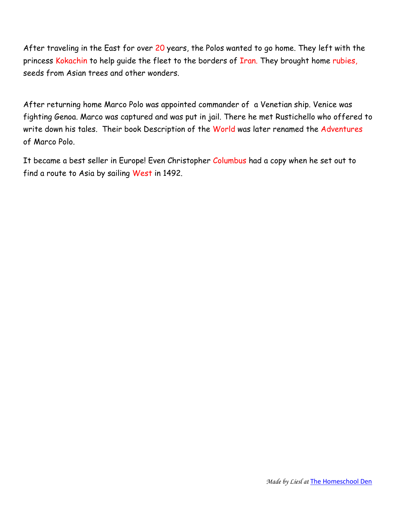After traveling in the East for over 20 years, the Polos wanted to go home. They left with the princess Kokachin to help quide the fleet to the borders of Iran. They brought home rubies, seeds from Asian trees and other wonders.

After returning home Marco Polo was appointed commander of a Venetian ship. Venice was fighting Genoa. Marco was captured and was put in jail. There he met Rustichello who offered to write down his tales. Their book Description of the World was later renamed the Adventures of Marco Polo.

It became a best seller in Europe! Even Christopher Columbus had a copy when he set out to find a route to Asia by sailing West in 1492.